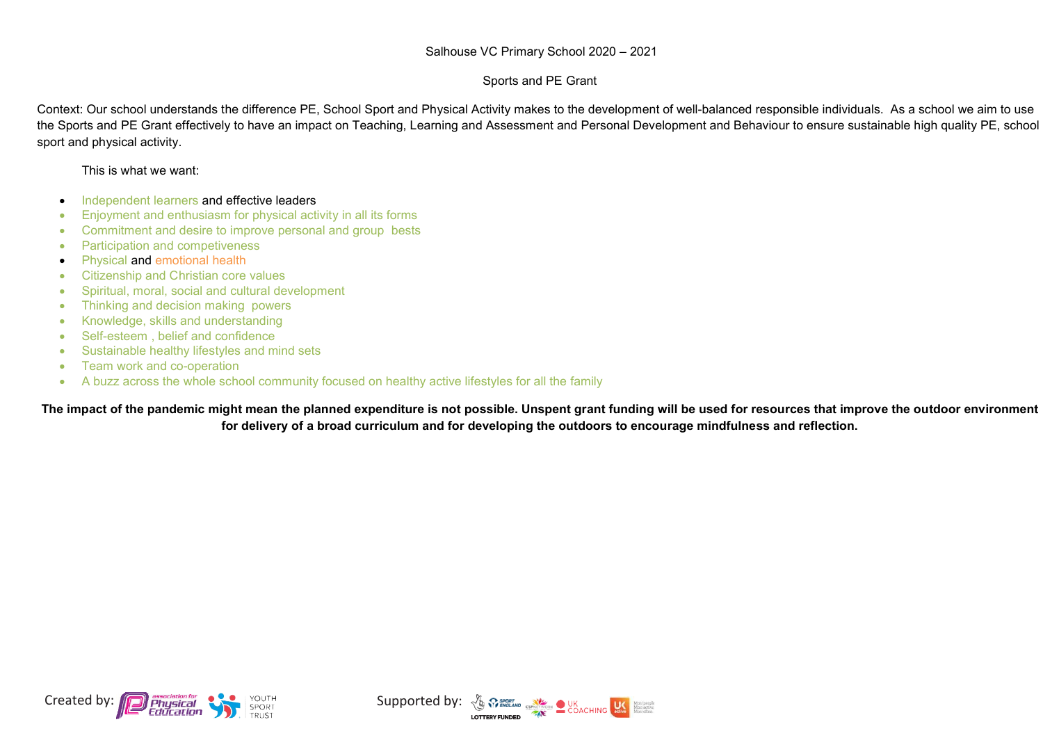## Sports and PE Grant

Context: Our school understands the difference PE, School Sport and Physical Activity makes to the development of well-balanced responsible individuals. As a school we aim to use the Sports and PE Grant effectively to have an impact on Teaching, Learning and Assessment and Personal Development and Behaviour to ensure sustainable high quality PE, school sport and physical activity.

This is what we want:

- Independent learners and effective leaders
- ∑ Enjoyment and enthusiasm for physical activity in all its forms
- Commitment and desire to improve personal and group bests
- Participation and competiveness
- Physical and emotional health
- Citizenship and Christian core values
- ∑ Spiritual, moral, social and cultural development
- Thinking and decision making powers
- Knowledge, skills and understanding
- ∑ Self-esteem , belief and confidence
- ∑ Sustainable healthy lifestyles and mind sets
- ∑ Team work and co-operation
- A buzz across the whole school community focused on healthy active lifestyles for all the family

**The impact of the pandemic might mean the planned expenditure is not possible. Unspent grant funding will be used for resources that improve the outdoor environment for delivery of a broad curriculum and for developing the outdoors to encourage mindfulness and reflection.**



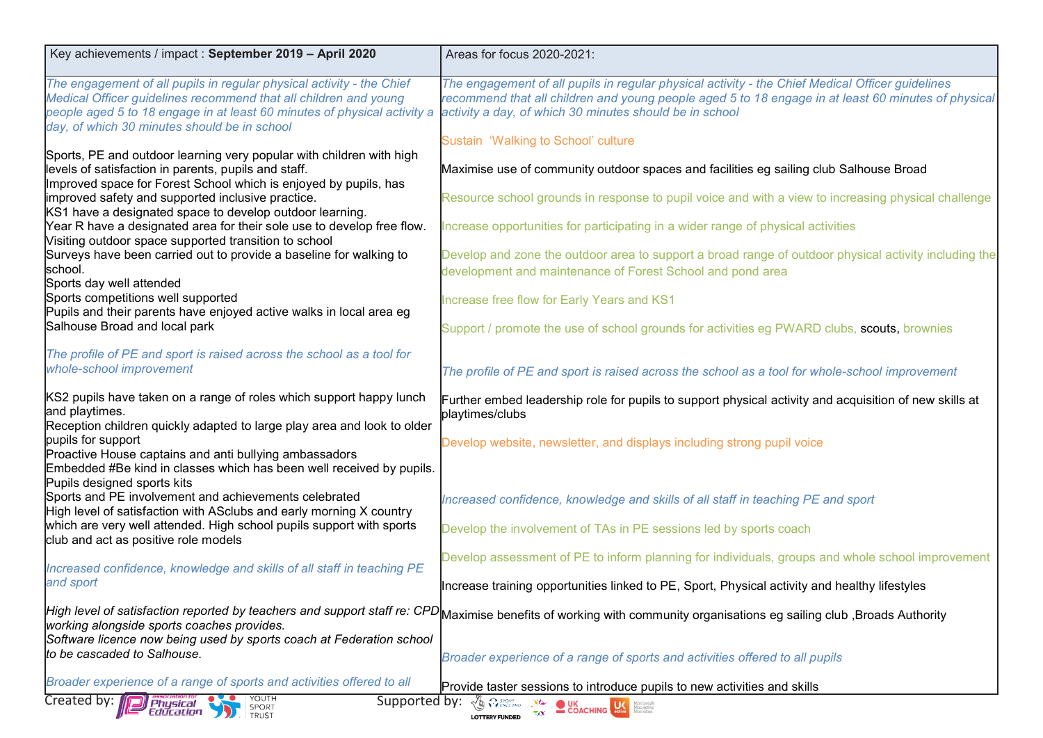| Key achievements / impact : September 2019 - April 2020                                                                                                                                                                                                               | Areas for focus 2020-2021:                                                                                                                                                                                                                                         |
|-----------------------------------------------------------------------------------------------------------------------------------------------------------------------------------------------------------------------------------------------------------------------|--------------------------------------------------------------------------------------------------------------------------------------------------------------------------------------------------------------------------------------------------------------------|
| The engagement of all pupils in regular physical activity - the Chief<br>Medical Officer guidelines recommend that all children and young<br>people aged 5 to 18 engage in at least 60 minutes of physical activity a<br>day, of which 30 minutes should be in school | The engagement of all pupils in regular physical activity - the Chief Medical Officer guidelines<br>recommend that all children and young people aged 5 to 18 engage in at least 60 minutes of physical<br>activity a day, of which 30 minutes should be in school |
| Sports, PE and outdoor learning very popular with children with high                                                                                                                                                                                                  | Sustain 'Walking to School' culture                                                                                                                                                                                                                                |
| levels of satisfaction in parents, pupils and staff.<br>Improved space for Forest School which is enjoyed by pupils, has                                                                                                                                              | Maximise use of community outdoor spaces and facilities eg sailing club Salhouse Broad                                                                                                                                                                             |
| improved safety and supported inclusive practice.<br>KS1 have a designated space to develop outdoor learning.                                                                                                                                                         | Resource school grounds in response to pupil voice and with a view to increasing physical challenge                                                                                                                                                                |
| Year R have a designated area for their sole use to develop free flow.<br>Visiting outdoor space supported transition to school                                                                                                                                       | Increase opportunities for participating in a wider range of physical activities                                                                                                                                                                                   |
| Surveys have been carried out to provide a baseline for walking to<br>school.                                                                                                                                                                                         | Develop and zone the outdoor area to support a broad range of outdoor physical activity including the<br>development and maintenance of Forest School and pond area                                                                                                |
| Sports day well attended<br>Sports competitions well supported                                                                                                                                                                                                        | Increase free flow for Early Years and KS1                                                                                                                                                                                                                         |
| Pupils and their parents have enjoyed active walks in local area eg<br>Salhouse Broad and local park                                                                                                                                                                  | Support / promote the use of school grounds for activities eg PWARD clubs, scouts, brownies                                                                                                                                                                        |
| The profile of PE and sport is raised across the school as a tool for<br>whole-school improvement                                                                                                                                                                     | The profile of PE and sport is raised across the school as a tool for whole-school improvement                                                                                                                                                                     |
| KS2 pupils have taken on a range of roles which support happy lunch<br>and playtimes.<br>Reception children quickly adapted to large play area and look to older                                                                                                      | Further embed leadership role for pupils to support physical activity and acquisition of new skills at<br>playtimes/clubs                                                                                                                                          |
| pupils for support<br>Proactive House captains and anti bullying ambassadors<br>Embedded #Be kind in classes which has been well received by pupils.                                                                                                                  | Develop website, newsletter, and displays including strong pupil voice                                                                                                                                                                                             |
| Pupils designed sports kits<br>Sports and PE involvement and achievements celebrated<br>High level of satisfaction with ASclubs and early morning X country                                                                                                           | Increased confidence, knowledge and skills of all staff in teaching PE and sport                                                                                                                                                                                   |
| which are very well attended. High school pupils support with sports<br>club and act as positive role models                                                                                                                                                          | Develop the involvement of TAs in PE sessions led by sports coach                                                                                                                                                                                                  |
| Increased confidence, knowledge and skills of all staff in teaching PE                                                                                                                                                                                                | Develop assessment of PE to inform planning for individuals, groups and whole school improvement                                                                                                                                                                   |
| and sport                                                                                                                                                                                                                                                             | Increase training opportunities linked to PE, Sport, Physical activity and healthy lifestyles                                                                                                                                                                      |
| working alongside sports coaches provides.                                                                                                                                                                                                                            | High level of satisfaction reported by teachers and support staff re: CPD <mark> </mark> Maximise benefits of working with community organisations eg sailing club ,Broads Authority                                                                               |
| Software licence now being used by sports coach at Federation school<br>to be cascaded to Salhouse.                                                                                                                                                                   | Broader experience of a range of sports and activities offered to all pupils                                                                                                                                                                                       |
| Broader experience of a range of sports and activities offered to all                                                                                                                                                                                                 | Provide taster sessions to introduce pupils to new activities and skills                                                                                                                                                                                           |
| Created by:<br>Supported by:<br>Physical<br>SPORT<br>TRUST<br>Education                                                                                                                                                                                               | $\sqrt{\mathbf{b}}$ $\Omega$ sport<br><b>UK</b><br>COACHING<br>More prepies<br><b>LOTTERY FUNDED</b>                                                                                                                                                               |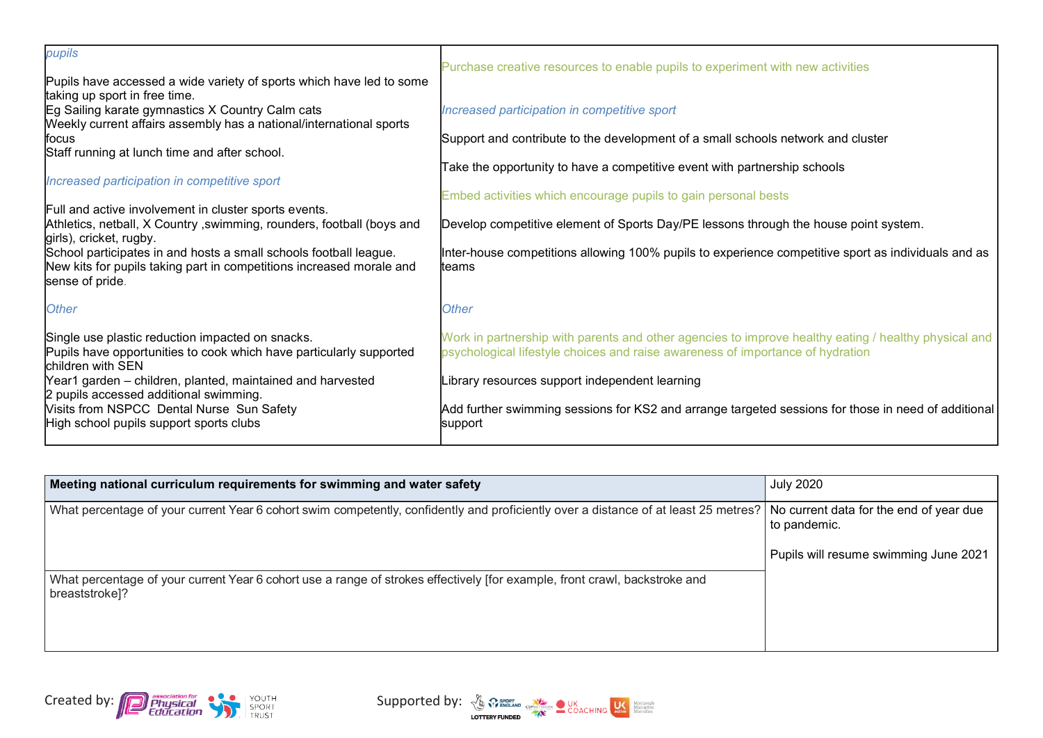| pupils                                                                                                                                                       | Purchase creative resources to enable pupils to experiment with new activities                                                                                                         |
|--------------------------------------------------------------------------------------------------------------------------------------------------------------|----------------------------------------------------------------------------------------------------------------------------------------------------------------------------------------|
| Pupils have accessed a wide variety of sports which have led to some<br>taking up sport in free time.                                                        |                                                                                                                                                                                        |
| Eg Sailing karate gymnastics X Country Calm cats<br>Weekly current affairs assembly has a national/international sports                                      | Increased participation in competitive sport                                                                                                                                           |
| lfocus                                                                                                                                                       | Support and contribute to the development of a small schools network and cluster                                                                                                       |
| Staff running at lunch time and after school.                                                                                                                | Take the opportunity to have a competitive event with partnership schools                                                                                                              |
| Increased participation in competitive sport                                                                                                                 |                                                                                                                                                                                        |
| Full and active involvement in cluster sports events.                                                                                                        | Embed activities which encourage pupils to gain personal bests                                                                                                                         |
| Athletics, netball, X Country, swimming, rounders, football (boys and<br>girls), cricket, rugby.                                                             | Develop competitive element of Sports Day/PE lessons through the house point system.                                                                                                   |
| School participates in and hosts a small schools football league.<br>New kits for pupils taking part in competitions increased morale and<br>sense of pride. | Inter-house competitions allowing 100% pupils to experience competitive sport as individuals and as<br>lteams                                                                          |
| <b>Other</b>                                                                                                                                                 | <b>Other</b>                                                                                                                                                                           |
| Single use plastic reduction impacted on snacks.<br>Pupils have opportunities to cook which have particularly supported<br>children with SEN                 | Work in partnership with parents and other agencies to improve healthy eating / healthy physical and<br>psychological lifestyle choices and raise awareness of importance of hydration |
| Year1 garden – children, planted, maintained and harvested<br>2 pupils accessed additional swimming.                                                         | Library resources support independent learning                                                                                                                                         |
| Visits from NSPCC Dental Nurse Sun Safety<br>High school pupils support sports clubs                                                                         | Add further swimming sessions for KS2 and arrange targeted sessions for those in need of additional<br>support                                                                         |
|                                                                                                                                                              |                                                                                                                                                                                        |

| Meeting national curriculum requirements for swimming and water safety                                                                                                      | <b>July 2020</b>                      |
|-----------------------------------------------------------------------------------------------------------------------------------------------------------------------------|---------------------------------------|
| What percentage of your current Year 6 cohort swim competently, confidently and proficiently over a distance of at least 25 metres? No current data for the end of year due | to pandemic.                          |
|                                                                                                                                                                             | Pupils will resume swimming June 2021 |
| What percentage of your current Year 6 cohort use a range of strokes effectively [for example, front crawl, backstroke and<br>breaststroke]?                                |                                       |



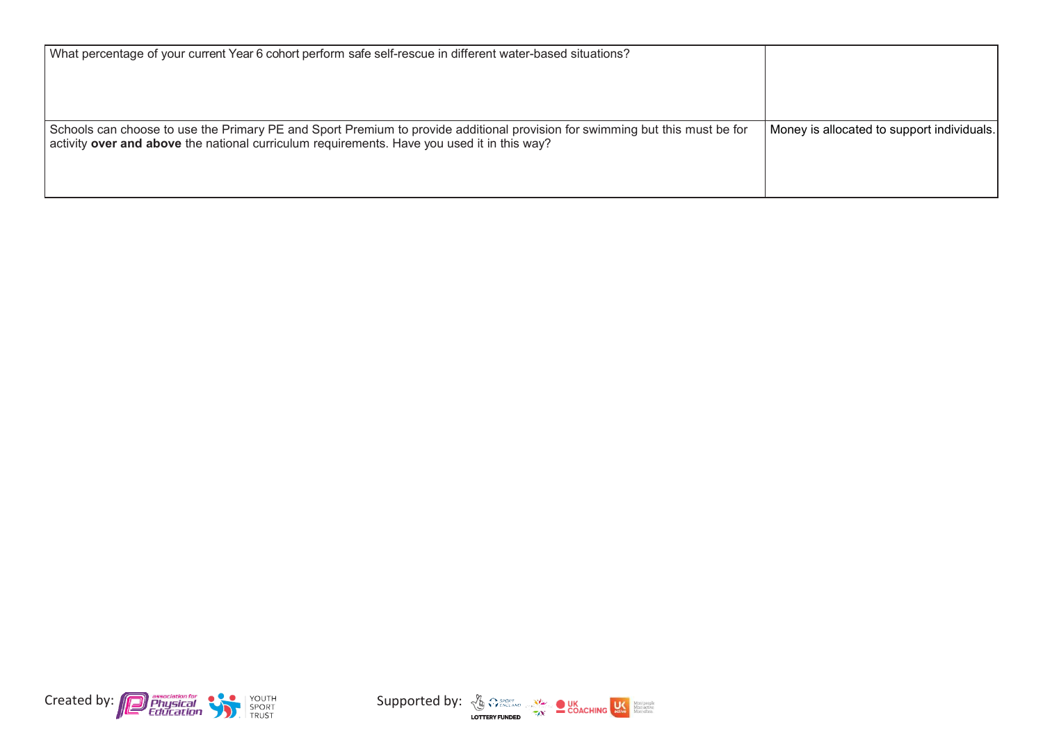| What percentage of your current Year 6 cohort perform safe self-rescue in different water-based situations?                                                                                                                 |                                            |
|-----------------------------------------------------------------------------------------------------------------------------------------------------------------------------------------------------------------------------|--------------------------------------------|
| Schools can choose to use the Primary PE and Sport Premium to provide additional provision for swimming but this must be for<br>activity over and above the national curriculum requirements. Have you used it in this way? | Money is allocated to support individuals. |



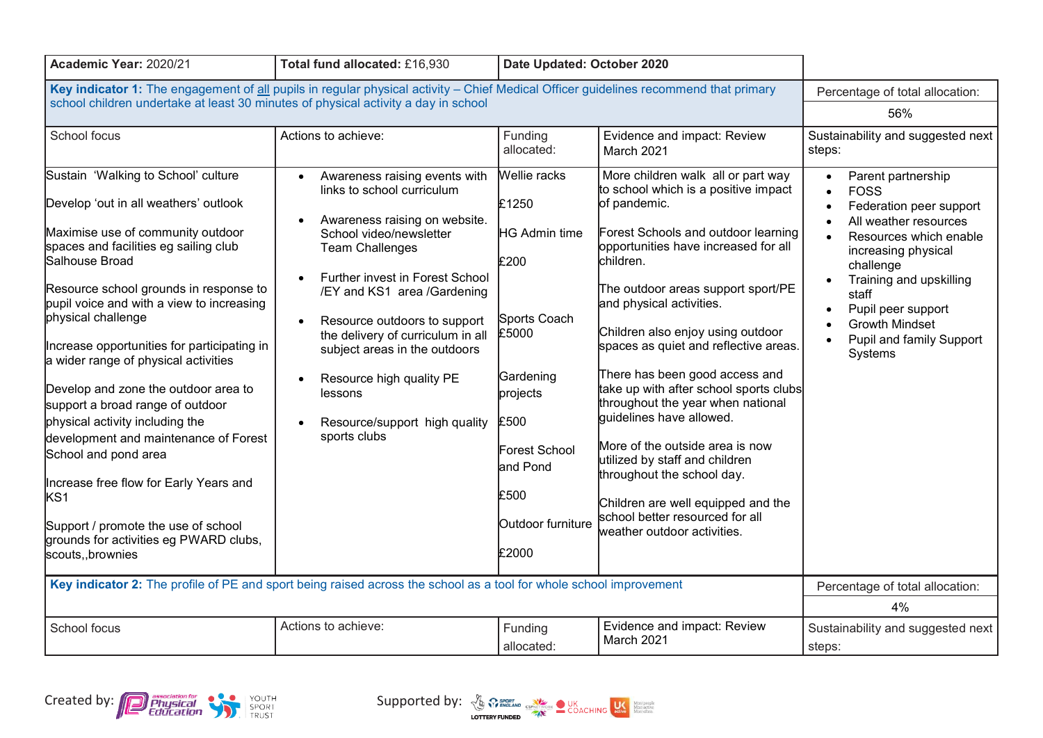| Academic Year: 2020/21                                                                                                                                                                                                                                                                                                                                                                                                                                                                                                                                                                                                                                                                                                              | Total fund allocated: £16,930                                                                                                                                                                                                                                                                                                                                                                                                               | Date Updated: October 2020                                                                                                                                                  |                                                                                                                                                                                                                                                                                                                                                                                                                                                                                                                                                                                                                                                                                                |                                                                                                                                                                                                                                                                                                                                                |
|-------------------------------------------------------------------------------------------------------------------------------------------------------------------------------------------------------------------------------------------------------------------------------------------------------------------------------------------------------------------------------------------------------------------------------------------------------------------------------------------------------------------------------------------------------------------------------------------------------------------------------------------------------------------------------------------------------------------------------------|---------------------------------------------------------------------------------------------------------------------------------------------------------------------------------------------------------------------------------------------------------------------------------------------------------------------------------------------------------------------------------------------------------------------------------------------|-----------------------------------------------------------------------------------------------------------------------------------------------------------------------------|------------------------------------------------------------------------------------------------------------------------------------------------------------------------------------------------------------------------------------------------------------------------------------------------------------------------------------------------------------------------------------------------------------------------------------------------------------------------------------------------------------------------------------------------------------------------------------------------------------------------------------------------------------------------------------------------|------------------------------------------------------------------------------------------------------------------------------------------------------------------------------------------------------------------------------------------------------------------------------------------------------------------------------------------------|
| Key indicator 1: The engagement of all pupils in regular physical activity - Chief Medical Officer guidelines recommend that primary<br>school children undertake at least 30 minutes of physical activity a day in school                                                                                                                                                                                                                                                                                                                                                                                                                                                                                                          |                                                                                                                                                                                                                                                                                                                                                                                                                                             |                                                                                                                                                                             |                                                                                                                                                                                                                                                                                                                                                                                                                                                                                                                                                                                                                                                                                                | Percentage of total allocation:<br>56%                                                                                                                                                                                                                                                                                                         |
| School focus                                                                                                                                                                                                                                                                                                                                                                                                                                                                                                                                                                                                                                                                                                                        | Actions to achieve:                                                                                                                                                                                                                                                                                                                                                                                                                         | Funding<br>allocated:                                                                                                                                                       | Evidence and impact: Review<br>March 2021                                                                                                                                                                                                                                                                                                                                                                                                                                                                                                                                                                                                                                                      | Sustainability and suggested next<br>steps:                                                                                                                                                                                                                                                                                                    |
| Sustain 'Walking to School' culture<br>Develop 'out in all weathers' outlook<br>Maximise use of community outdoor<br>spaces and facilities eg sailing club<br>Salhouse Broad<br>Resource school grounds in response to<br>pupil voice and with a view to increasing<br>physical challenge<br>Increase opportunities for participating in<br>a wider range of physical activities<br>Develop and zone the outdoor area to<br>support a broad range of outdoor<br>physical activity including the<br>development and maintenance of Forest<br>School and pond area<br>Increase free flow for Early Years and<br>KS <sub>1</sub><br>Support / promote the use of school<br>grounds for activities eg PWARD clubs,<br>scouts,, brownies | Awareness raising events with<br>$\bullet$<br>links to school curriculum<br>Awareness raising on website.<br>School video/newsletter<br><b>Team Challenges</b><br>Further invest in Forest School<br>/EY and KS1 area /Gardening<br>Resource outdoors to support<br>$\bullet$<br>the delivery of curriculum in all<br>subject areas in the outdoors<br>Resource high quality PE<br>lessons<br>Resource/support high quality<br>sports clubs | Wellie racks<br>£1250<br>HG Admin time<br>£200<br>Sports Coach<br>£5000<br>Gardening<br>projects<br>£500<br>Forest School<br>and Pond<br>£500<br>Outdoor furniture<br>£2000 | More children walk all or part way<br>to school which is a positive impact<br>of pandemic.<br>Forest Schools and outdoor learning<br>opportunities have increased for all<br>children.<br>The outdoor areas support sport/PE<br>and physical activities.<br>Children also enjoy using outdoor<br>spaces as quiet and reflective areas.<br>There has been good access and<br>take up with after school sports clubs<br>throughout the year when national<br>quidelines have allowed.<br>More of the outside area is now<br>utilized by staff and children<br>throughout the school day.<br>Children are well equipped and the<br>school better resourced for all<br>weather outdoor activities. | Parent partnership<br>$\bullet$<br><b>FOSS</b><br>$\bullet$<br>Federation peer support<br>All weather resources<br>Resources which enable<br>$\bullet$<br>increasing physical<br>challenge<br>Training and upskilling<br>staff<br>Pupil peer support<br>$\bullet$<br><b>Growth Mindset</b><br>Pupil and family Support<br>$\bullet$<br>Systems |
| Key indicator 2: The profile of PE and sport being raised across the school as a tool for whole school improvement                                                                                                                                                                                                                                                                                                                                                                                                                                                                                                                                                                                                                  |                                                                                                                                                                                                                                                                                                                                                                                                                                             |                                                                                                                                                                             |                                                                                                                                                                                                                                                                                                                                                                                                                                                                                                                                                                                                                                                                                                | Percentage of total allocation:                                                                                                                                                                                                                                                                                                                |
|                                                                                                                                                                                                                                                                                                                                                                                                                                                                                                                                                                                                                                                                                                                                     |                                                                                                                                                                                                                                                                                                                                                                                                                                             |                                                                                                                                                                             |                                                                                                                                                                                                                                                                                                                                                                                                                                                                                                                                                                                                                                                                                                | 4%                                                                                                                                                                                                                                                                                                                                             |
| School focus                                                                                                                                                                                                                                                                                                                                                                                                                                                                                                                                                                                                                                                                                                                        | Actions to achieve:                                                                                                                                                                                                                                                                                                                                                                                                                         | Funding<br>allocated:                                                                                                                                                       | Evidence and impact: Review<br>March 2021                                                                                                                                                                                                                                                                                                                                                                                                                                                                                                                                                                                                                                                      | Sustainability and suggested next<br>steps:                                                                                                                                                                                                                                                                                                    |



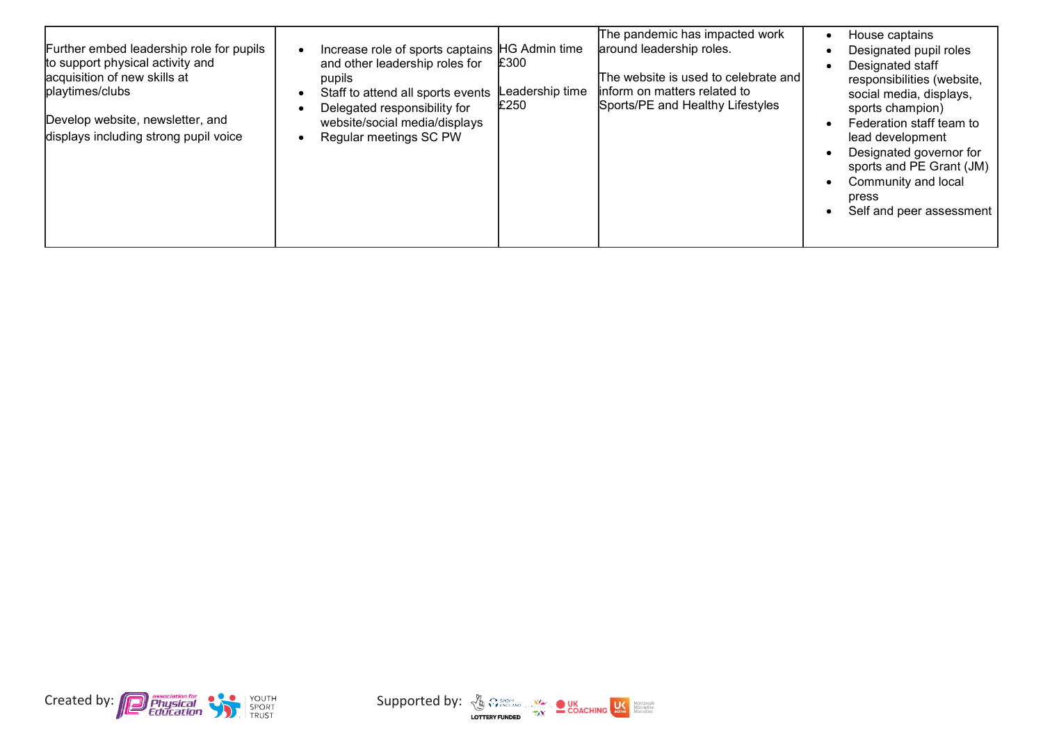|--|



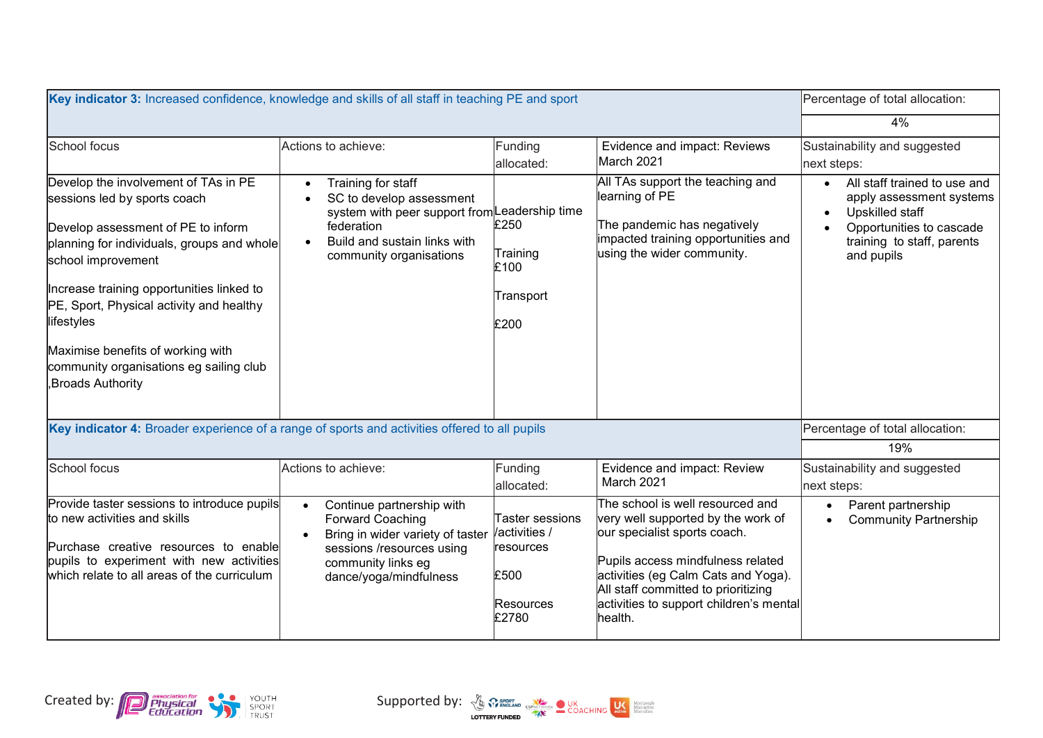| Key indicator 3: Increased confidence, knowledge and skills of all staff in teaching PE and sport                                                                                                                                                                                                                                                                                         |                                                                                                                                                                                                    |                                                                            |                                                                                                                                                                                                                                                                                 | Percentage of total allocation:                                                                                                                     |
|-------------------------------------------------------------------------------------------------------------------------------------------------------------------------------------------------------------------------------------------------------------------------------------------------------------------------------------------------------------------------------------------|----------------------------------------------------------------------------------------------------------------------------------------------------------------------------------------------------|----------------------------------------------------------------------------|---------------------------------------------------------------------------------------------------------------------------------------------------------------------------------------------------------------------------------------------------------------------------------|-----------------------------------------------------------------------------------------------------------------------------------------------------|
|                                                                                                                                                                                                                                                                                                                                                                                           |                                                                                                                                                                                                    |                                                                            |                                                                                                                                                                                                                                                                                 | 4%                                                                                                                                                  |
| School focus                                                                                                                                                                                                                                                                                                                                                                              | Actions to achieve:                                                                                                                                                                                | Funding<br>allocated:                                                      | Evidence and impact: Reviews<br>March 2021                                                                                                                                                                                                                                      | Sustainability and suggested<br>next steps:                                                                                                         |
| Develop the involvement of TAs in PE<br>sessions led by sports coach<br>Develop assessment of PE to inform<br>planning for individuals, groups and whole<br>school improvement<br>Increase training opportunities linked to<br>PE, Sport, Physical activity and healthy<br>lifestyles<br>Maximise benefits of working with<br>community organisations eg sailing club<br>Broads Authority | Training for staff<br>$\bullet$<br>SC to develop assessment<br>system with peer support from Leadership time<br>federation<br>Build and sustain links with<br>$\bullet$<br>community organisations | £250<br>Training<br>£100<br>Transport<br>£200                              | All TAs support the teaching and<br>learning of PE<br>The pandemic has negatively<br>impacted training opportunities and<br>using the wider community.                                                                                                                          | All staff trained to use and<br>apply assessment systems<br>Upskilled staff<br>Opportunities to cascade<br>training to staff, parents<br>and pupils |
| Key indicator 4: Broader experience of a range of sports and activities offered to all pupils                                                                                                                                                                                                                                                                                             |                                                                                                                                                                                                    |                                                                            |                                                                                                                                                                                                                                                                                 | Percentage of total allocation:                                                                                                                     |
|                                                                                                                                                                                                                                                                                                                                                                                           |                                                                                                                                                                                                    |                                                                            |                                                                                                                                                                                                                                                                                 | 19%                                                                                                                                                 |
| School focus                                                                                                                                                                                                                                                                                                                                                                              | Actions to achieve:                                                                                                                                                                                | Funding<br>allocated:                                                      | Evidence and impact: Review<br>March 2021                                                                                                                                                                                                                                       | Sustainability and suggested<br>next steps:                                                                                                         |
| Provide taster sessions to introduce pupils<br>to new activities and skills<br>Purchase creative resources to enable<br>pupils to experiment with new activities<br>which relate to all areas of the curriculum                                                                                                                                                                           | Continue partnership with<br>$\bullet$<br><b>Forward Coaching</b><br>Bring in wider variety of taster<br>$\bullet$<br>sessions /resources using<br>community links eg<br>dance/yoga/mindfulness    | Taster sessions<br>activities /<br>resources<br>£500<br>Resources<br>£2780 | The school is well resourced and<br>very well supported by the work of<br>our specialist sports coach.<br>Pupils access mindfulness related<br>activities (eg Calm Cats and Yoga).<br>All staff committed to prioritizing<br>activities to support children's mental<br>health. | Parent partnership<br>$\bullet$<br><b>Community Partnership</b>                                                                                     |

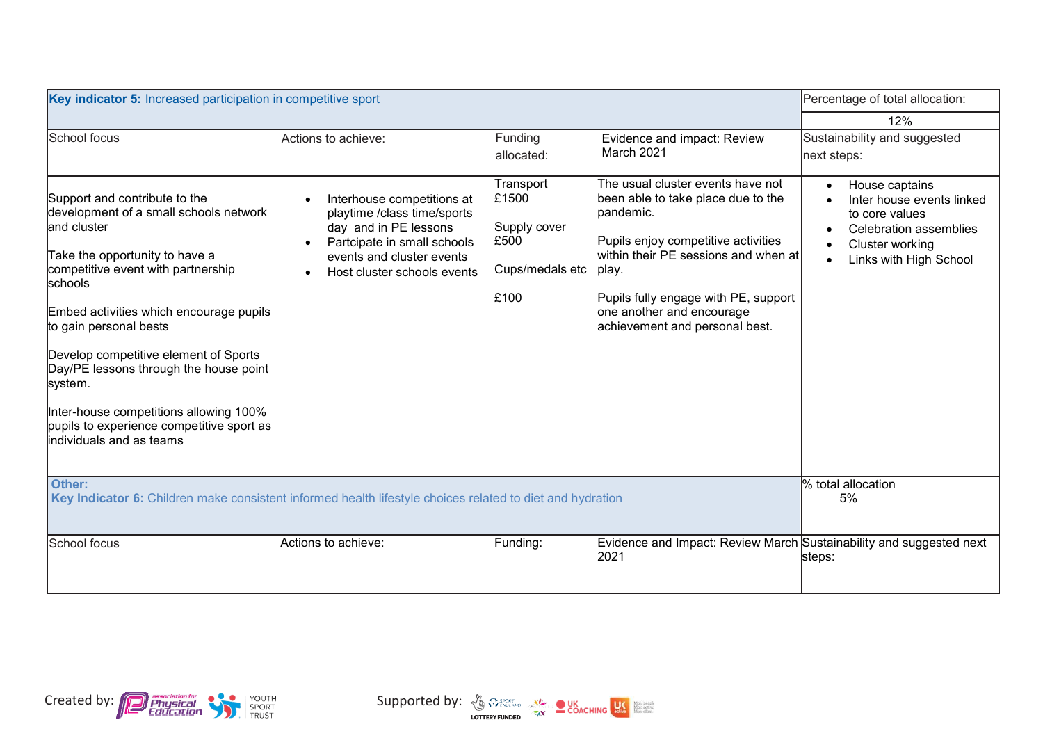| Key indicator 5: Increased participation in competitive sport                                                                                                                                                                                                                                                                                                                                                                                                    |                                                                                                                                                                               |                                                                       |                                                                                                                                                                                                                                                                                               | Percentage of total allocation:                                                                                                                                |
|------------------------------------------------------------------------------------------------------------------------------------------------------------------------------------------------------------------------------------------------------------------------------------------------------------------------------------------------------------------------------------------------------------------------------------------------------------------|-------------------------------------------------------------------------------------------------------------------------------------------------------------------------------|-----------------------------------------------------------------------|-----------------------------------------------------------------------------------------------------------------------------------------------------------------------------------------------------------------------------------------------------------------------------------------------|----------------------------------------------------------------------------------------------------------------------------------------------------------------|
|                                                                                                                                                                                                                                                                                                                                                                                                                                                                  |                                                                                                                                                                               |                                                                       |                                                                                                                                                                                                                                                                                               | 12%                                                                                                                                                            |
| School focus                                                                                                                                                                                                                                                                                                                                                                                                                                                     | Actions to achieve:                                                                                                                                                           | Funding<br>allocated:                                                 | Evidence and impact: Review<br>March 2021                                                                                                                                                                                                                                                     | Sustainability and suggested<br>next steps:                                                                                                                    |
| Support and contribute to the<br>development of a small schools network<br>and cluster<br>Take the opportunity to have a<br>competitive event with partnership<br>schools<br>Embed activities which encourage pupils<br>to gain personal bests<br>Develop competitive element of Sports<br>Day/PE lessons through the house point<br>system.<br>Inter-house competitions allowing 100%<br>pupils to experience competitive sport as<br>lindividuals and as teams | Interhouse competitions at<br>playtime /class time/sports<br>day and in PE lessons<br>Partcipate in small schools<br>events and cluster events<br>Host cluster schools events | Transport<br>£1500<br>Supply cover<br>£500<br>Cups/medals etc<br>£100 | The usual cluster events have not<br>been able to take place due to the<br>pandemic.<br>Pupils enjoy competitive activities<br>$\hbox{within their PE sessions and when at}$<br>∣play.<br>Pupils fully engage with PE, support<br>one another and encourage<br>achievement and personal best. | House captains<br>$\bullet$<br>Inter house events linked<br>to core values<br>Celebration assemblies<br>Cluster working<br>Links with High School<br>$\bullet$ |
| Other:<br>Key Indicator 6: Children make consistent informed health lifestyle choices related to diet and hydration                                                                                                                                                                                                                                                                                                                                              |                                                                                                                                                                               |                                                                       |                                                                                                                                                                                                                                                                                               | % total allocation<br>5%                                                                                                                                       |
| School focus                                                                                                                                                                                                                                                                                                                                                                                                                                                     | Actions to achieve:                                                                                                                                                           | Funding:                                                              | Evidence and Impact: Review March Sustainability and suggested next<br>2021                                                                                                                                                                                                                   | steps:                                                                                                                                                         |